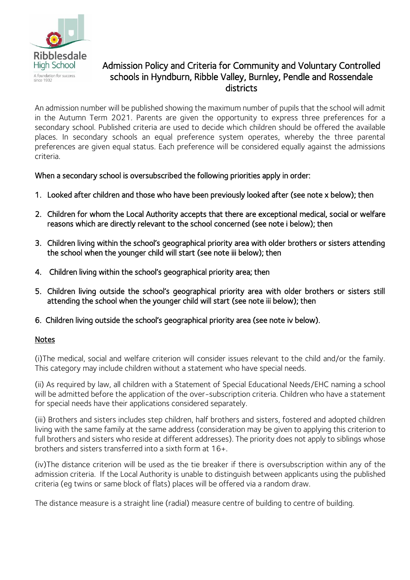

## Admission Policy and Criteria for Community and Voluntary Controlled schools in Hyndburn, Ribble Valley, Burnley, Pendle and Rossendale districts

An admission number will be published showing the maximum number of pupils that the school will admit in the Autumn Term 2021. Parents are given the opportunity to express three preferences for a secondary school. Published criteria are used to decide which children should be offered the available places. In secondary schools an equal preference system operates, whereby the three parental preferences are given equal status. Each preference will be considered equally against the admissions criteria.

## When a secondary school is oversubscribed the following priorities apply in order:

- 1. Looked after children and those who have been previously looked after (see note x below); then
- 2. Children for whom the Local Authority accepts that there are exceptional medical, social or welfare reasons which are directly relevant to the school concerned (see note i below); then
- 3. Children living within the school's geographical priority area with older brothers or sisters attending the school when the younger child will start (see note iii below); then
- 4. Children living within the school's geographical priority area; then
- 5. Children living outside the school's geographical priority area with older brothers or sisters still attending the school when the younger child will start (see note iii below); then
- 6. Children living outside the school's geographical priority area (see note iv below).

## **Notes**

(i)The medical, social and welfare criterion will consider issues relevant to the child and/or the family. This category may include children without a statement who have special needs.

(ii) As required by law, all children with a Statement of Special Educational Needs/EHC naming a school will be admitted before the application of the over-subscription criteria. Children who have a statement for special needs have their applications considered separately.

(iii) Brothers and sisters includes step children, half brothers and sisters, fostered and adopted children living with the same family at the same address (consideration may be given to applying this criterion to full brothers and sisters who reside at different addresses). The priority does not apply to siblings whose brothers and sisters transferred into a sixth form at 16+.

(iv)The distance criterion will be used as the tie breaker if there is oversubscription within any of the admission criteria. If the Local Authority is unable to distinguish between applicants using the published criteria (eg twins or same block of flats) places will be offered via a random draw.

The distance measure is a straight line (radial) measure centre of building to centre of building.